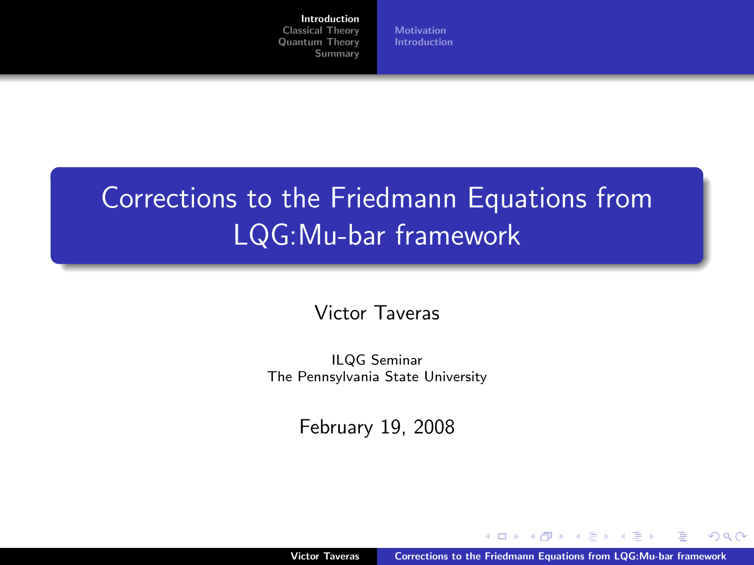#### [Introduction](#page-0-0)

[Classical Theory](#page-3-0) [Quantum Theory](#page-9-0) [Summary](#page-19-0) **[Motivation](#page-1-0)** [Introduction](#page-2-0)

# Corrections to the Friedmann Equations from LQG:Mu-bar framework

Victor Taveras

ILQG Seminar The Pennsylvania State University

<span id="page-0-0"></span>February 19, 2008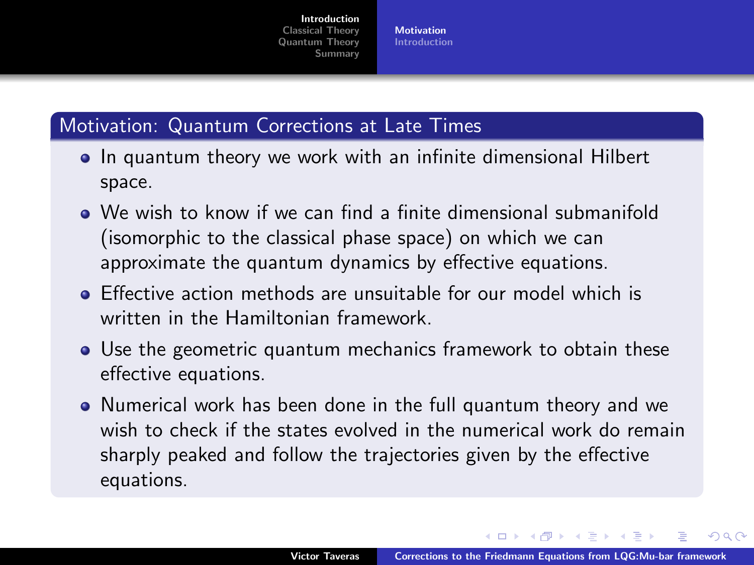<span id="page-1-0"></span>**[Motivation](#page-1-0)** [Introduction](#page-2-0)

# Motivation: Quantum Corrections at Late Times

- In quantum theory we work with an infinite dimensional Hilbert space.
- We wish to know if we can find a finite dimensional submanifold (isomorphic to the classical phase space) on which we can approximate the quantum dynamics by effective equations.
- Effective action methods are unsuitable for our model which is written in the Hamiltonian framework.
- Use the geometric quantum mechanics framework to obtain these effective equations.
- Numerical work has been done in the full quantum theory and we wish to check if the states evolved in the numerical work do remain sharply peaked and follow the trajectories given by the effective equations.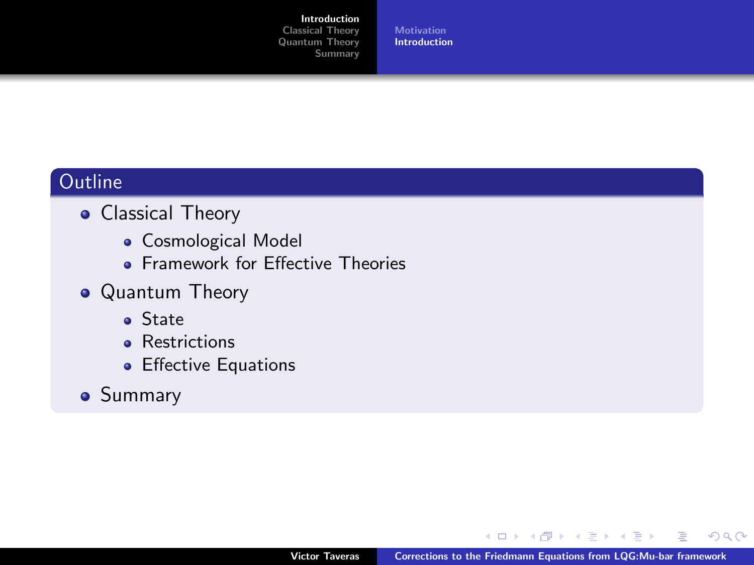#### [Introduction](#page-0-0)

[Classical Theory](#page-3-0) [Quantum Theory](#page-9-0) [Summary](#page-19-0) **[Motivation](#page-1-0)** [Introduction](#page-2-0)

# **Outline**

- **Classical Theory** 
	- **Cosmological Model**
	- **Framework for Effective Theories**
- Quantum Theory
	- State
	- **•** Restrictions
	- **•** Effective Equations
- **•** Summary

<span id="page-2-0"></span> $2Q$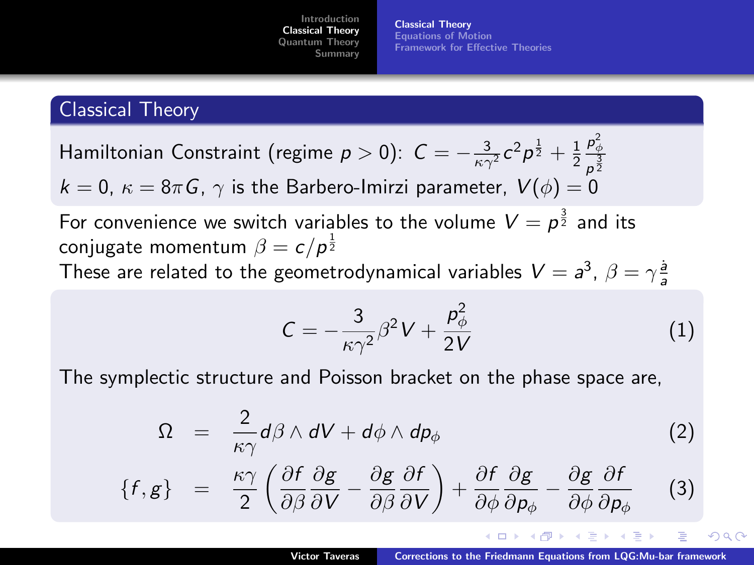[Classical Theory](#page-3-0) [Equations of Motion](#page-4-0) [Framework for Effective Theories](#page-5-0)

## Classical Theory

Hamiltonian Constraint (regime  $p>0$ ):  $\mathcal{C}=-\frac{3}{\kappa\gamma^2}c^2p^{\frac{1}{2}}+\frac{1}{2}$  $\rho_{\phi}^2$  $p^{\frac{3}{2}}$  $k = 0$ ,  $\kappa = 8\pi G$ ,  $\gamma$  is the Barbero-Imirzi parameter,  $V(\phi) = 0$ 

For convenience we switch variables to the volume  $V = \rho^{\frac{3}{2}}$  and its conjugate momentum  $\beta = c / \rho^{\frac{1}{2}}$ These are related to the geometrodynamical variables  $V=a^3$ ,  $\beta=\gamma \frac{\dot{a}}{a}$ 

<span id="page-3-0"></span>
$$
C = -\frac{3}{\kappa \gamma^2} \beta^2 V + \frac{p_\phi^2}{2V} \tag{1}
$$

The symplectic structure and Poisson bracket on the phase space are,

$$
\Omega = \frac{2}{\kappa \gamma} d\beta \wedge dV + d\phi \wedge dp_{\phi} \tag{2}
$$

$$
\{f,g\} = \frac{\kappa \gamma}{2} \left( \frac{\partial f}{\partial \beta} \frac{\partial g}{\partial V} - \frac{\partial g}{\partial \beta} \frac{\partial f}{\partial V} \right) + \frac{\partial f}{\partial \phi} \frac{\partial g}{\partial \rho_{\phi}} - \frac{\partial g}{\partial \phi} \frac{\partial f}{\partial \rho_{\phi}} \tag{3}
$$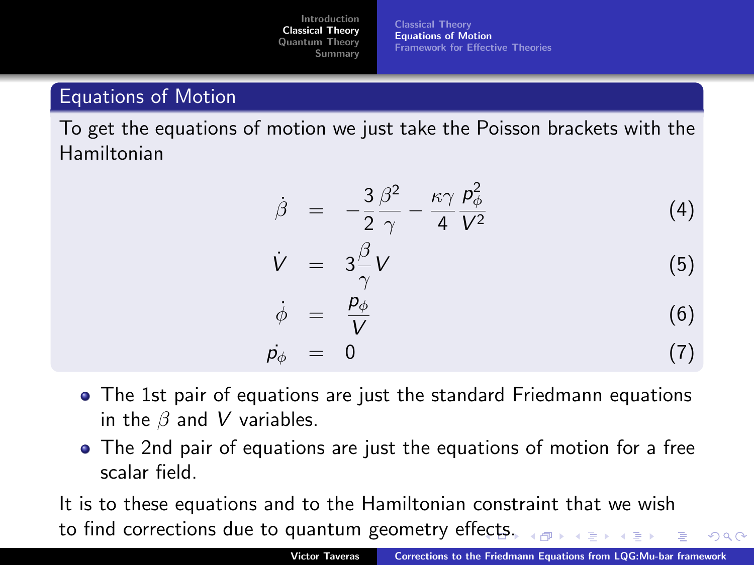[Classical Theory](#page-3-0) [Equations of Motion](#page-4-0) [Framework for Effective Theories](#page-5-0)

# Equations of Motion

To get the equations of motion we just take the Poisson brackets with the Hamiltonian

$$
\dot{\beta} = -\frac{3}{2} \frac{\beta^2}{\gamma} - \frac{\kappa \gamma}{4} \frac{p_\phi^2}{V^2} \tag{4}
$$

$$
\dot{V} = 3\frac{\beta}{\gamma}V \tag{5}
$$

<span id="page-4-0"></span>
$$
\dot{\phi} = \frac{p_{\phi}}{V} \tag{6}
$$
\n
$$
\dot{p}_{\phi} = 0 \tag{7}
$$

- The 1st pair of equations are just the standard Friedmann equations in the  $\beta$  and V variables.
- The 2nd pair of equations are just the equations of motion for a free scalar field.

It is to these equations and to the Hamiltonian constraint that we wish to find corrections due to quantum geometry eff[ect](#page-3-0)[s.](#page-5-0)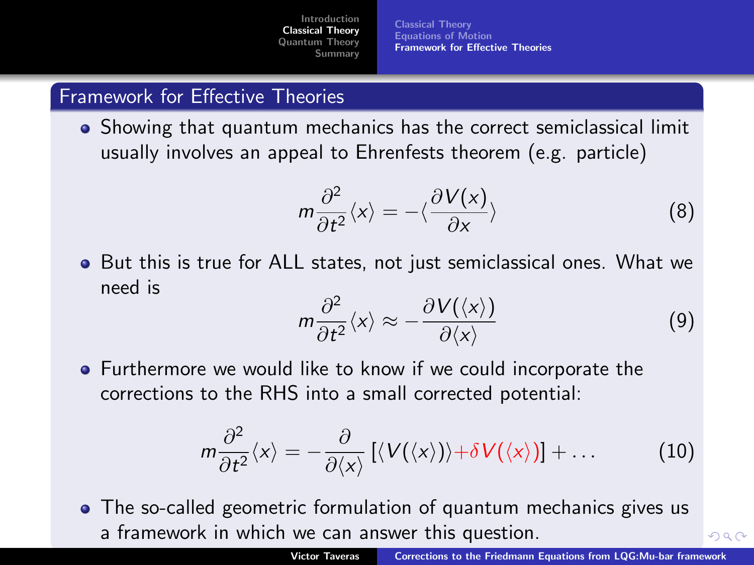[Classical Theory](#page-3-0) [Equations of Motion](#page-4-0) [Framework for Effective Theories](#page-5-0)

#### Framework for Effective Theories

Showing that quantum mechanics has the correct semiclassical limit usually involves an appeal to Ehrenfests theorem (e.g. particle)

$$
m\frac{\partial^2}{\partial t^2}\langle x\rangle = -\langle \frac{\partial V(x)}{\partial x}\rangle
$$
 (8)

But this is true for ALL states, not just semiclassical ones. What we need is

<span id="page-5-0"></span>
$$
m\frac{\partial^2}{\partial t^2}\langle x\rangle \approx -\frac{\partial V(\langle x\rangle)}{\partial \langle x\rangle} \tag{9}
$$

**•** Furthermore we would like to know if we could incorporate the corrections to the RHS into a small corrected potential:

$$
m\frac{\partial^2}{\partial t^2}\langle x\rangle=-\frac{\partial}{\partial \langle x\rangle}\left[\langle V(\langle x\rangle)\rangle+\delta V(\langle x\rangle)\right]+\dots \qquad (10)
$$

The so-called geometric formulation of quantum mechanics gives us a framework in which we can answer this q[ues](#page-4-0)t[io](#page-6-0)[n](#page-4-0)[.](#page-5-0)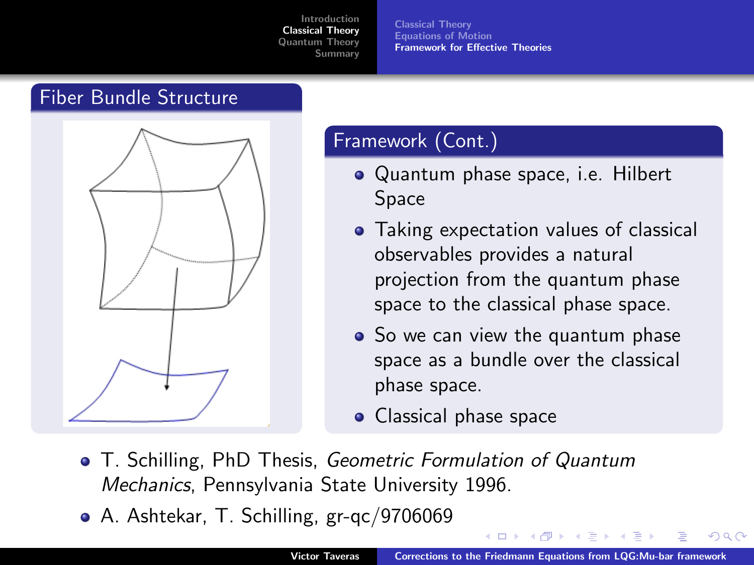[Classical Theory](#page-3-0) [Equations of Motion](#page-4-0) [Framework for Effective Theories](#page-5-0)

#### Fiber Bundle Structure



### Framework (Cont.)

- Quantum phase space, i.e. Hilbert Space
- Taking expectation values of classical observables provides a natural projection from the quantum phase space to the classical phase space.
- So we can view the quantum phase space as a bundle over the classical phase space.
- <span id="page-6-0"></span>• Classical phase space
- T. Schilling, PhD Thesis, Geometric Formulation of Quantum Mechanics, Pennsylvania State University 1996.
- A. Ashtekar, T. Schilling, gr-qc/9706069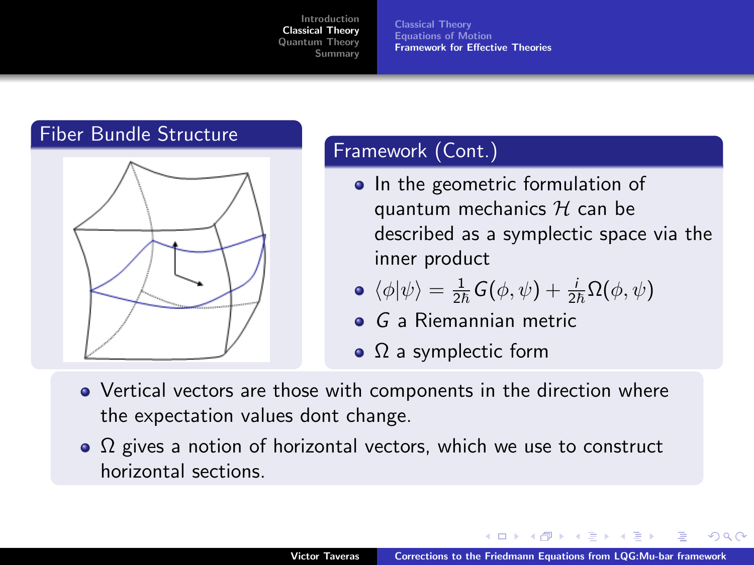[Classical Theory](#page-3-0) [Equations of Motion](#page-4-0) [Framework for Effective Theories](#page-5-0)



# Framework (Cont.)

• In the geometric formulation of quantum mechanics  $H$  can be described as a symplectic space via the inner product

• 
$$
\langle \phi | \psi \rangle = \frac{1}{2\hbar} G(\phi, \psi) + \frac{i}{2\hbar} \Omega(\phi, \psi)
$$

- **o** G a Riemannian metric
- $\bullet$   $\Omega$  a symplectic form
- Vertical vectors are those with components in the direction where the expectation values dont change.
- $\Omega$  gives a notion of horizontal vectors, which we use to construct horizontal sections.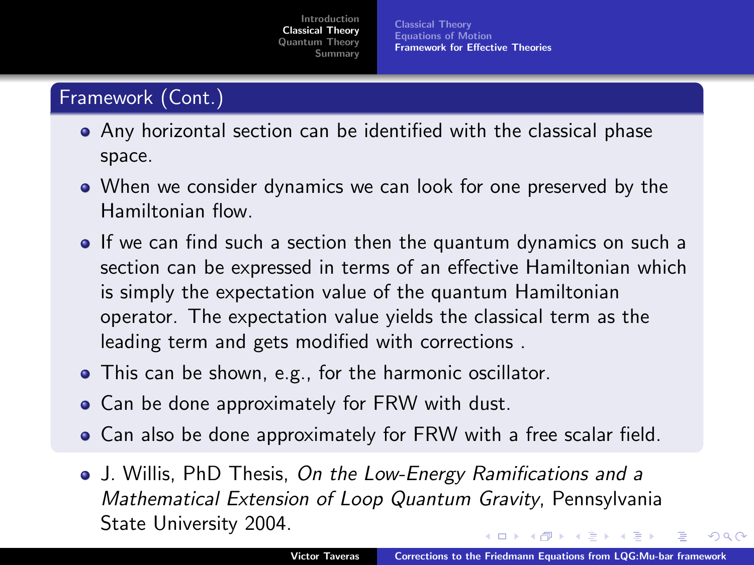[Classical Theory](#page-3-0) [Equations of Motion](#page-4-0) [Framework for Effective Theories](#page-5-0)

# Framework (Cont.)

- Any horizontal section can be identified with the classical phase space.
- When we consider dynamics we can look for one preserved by the Hamiltonian flow.
- **If we can find such a section then the quantum dynamics on such a** section can be expressed in terms of an effective Hamiltonian which is simply the expectation value of the quantum Hamiltonian operator. The expectation value yields the classical term as the leading term and gets modified with corrections .
- This can be shown, e.g., for the harmonic oscillator.
- **•** Can be done approximately for FRW with dust.
- Can also be done approximately for FRW with a free scalar field.
- J. Willis, PhD Thesis, On the Low-Energy Ramifications and a Mathematical Extension of Loop Quantum Gravity, Pennsylvania State University 2004.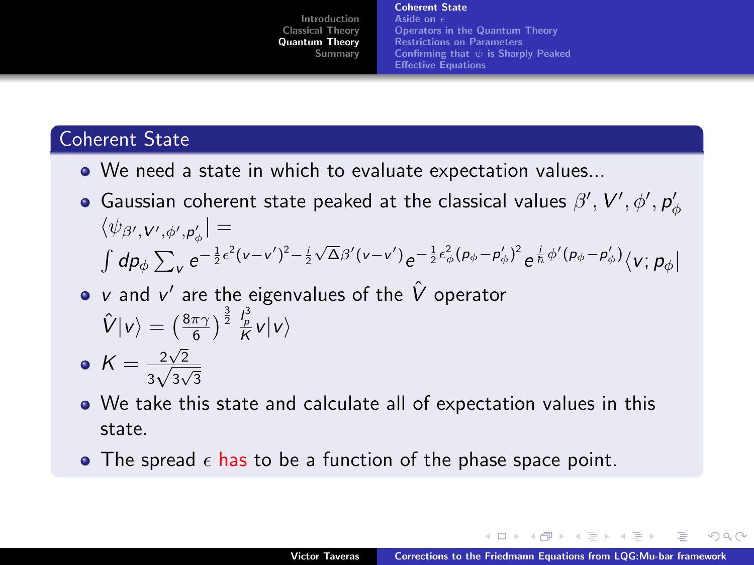[Coherent State](#page-9-0) [Aside on](#page-10-0) [Operators in the Quantum Theory](#page-11-0) [Restrictions on Parameters](#page-12-0) Confirming that  $\psi$  [is Sharply Peaked](#page-13-0) [Effective Equations](#page-14-0)

# Coherent State

- We need a state in which to evaluate expectation values...
- Gaussian coherent state peaked at the classical values  $\beta',$   ${\cal V}',$   $\phi',$   ${\sf p}'_{\phi}$  $\langle \psi_{\beta',{\bf V}',\phi',{\bf p}_\phi'}| =$  $\int dp_\phi \sum_{v} e^{-\frac{1}{2}\epsilon^2(v-v')^2-\frac{i}{2}}$  $\sqrt{\Delta} \beta' (v-v') e^{-\frac{1}{2} \epsilon_{\phi}^2 (\rho_{\phi} - \rho'_{\phi})^2} e^{\frac{i}{\hbar} \phi' (\rho_{\phi} - \rho'_{\phi})} \langle v; \rho_{\phi}|$
- v and  $v'$  are the eigenvalues of the  $\hat{V}$  operator  $\hat{V}|v\rangle=\left(\frac{8\pi\gamma}{6}\right)^{\frac{3}{2}}\frac{l_p^3}{K}v|v\rangle$
- $K = \frac{2\sqrt{2}}{\sqrt{2}}$  $rac{2\sqrt{2}}{3\sqrt{3\sqrt{3}}}$
- We take this state and calculate all of expectation values in this state.
- <span id="page-9-0"></span>• The spread  $\epsilon$  has to be a function of the phase space point.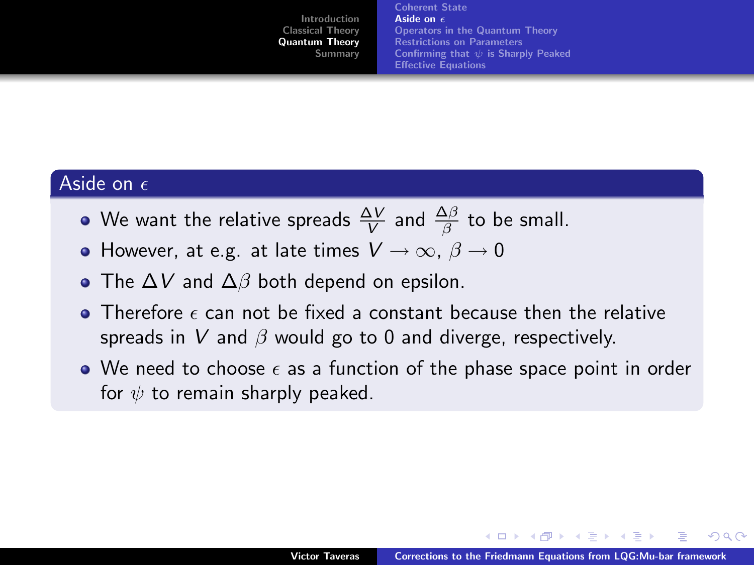<span id="page-10-0"></span>[Coherent State](#page-9-0) [Aside on](#page-10-0) a [Operators in the Quantum Theory](#page-11-0) [Restrictions on Parameters](#page-12-0) Confirming that  $\psi$  [is Sharply Peaked](#page-13-0) [Effective Equations](#page-14-0)

#### Aside on  $\epsilon$

- We want the relative spreads  $\frac{\Delta V}{V}$  and  $\frac{\Delta \beta}{\beta}$  to be small.
- However, at e.g. at late times  $V \to \infty$ ,  $\beta \to 0$
- The  $\Delta V$  and  $\Delta \beta$  both depend on epsilon.
- $\bullet$  Therefore  $\epsilon$  can not be fixed a constant because then the relative spreads in V and  $\beta$  would go to 0 and diverge, respectively.
- $\bullet$  We need to choose  $\epsilon$  as a function of the phase space point in order for  $\psi$  to remain sharply peaked.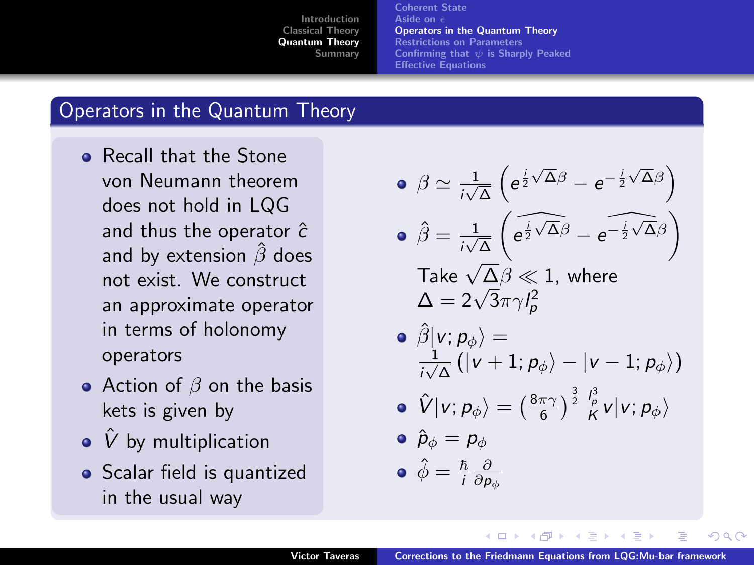[Coherent State](#page-9-0) [Aside on](#page-10-0) [Operators in the Quantum Theory](#page-11-0) [Restrictions on Parameters](#page-12-0) Confirming that  $\psi$  [is Sharply Peaked](#page-13-0) [Effective Equations](#page-14-0)

#### Operators in the Quantum Theory

- **e** Recall that the Stone von Neumann theorem does not hold in LQG and thus the operator  $\hat{c}$ and by extension  $\hat{\beta}$  does not exist. We construct an approximate operator in terms of holonomy operators
- Action of  $\beta$  on the basis kets is given by
- $\bullet$   $\hat{V}$  by multiplication
- Scalar field is quantized in the usual way

\n- \n
$$
\begin{aligned}\n \mathbf{\Theta} \otimes \frac{1}{i\sqrt{\Delta}} \left( e^{\frac{i}{2}\sqrt{\Delta}\beta} - e^{-\frac{i}{2}\sqrt{\Delta}\beta} \right) \\
 \mathbf{\Theta} \hat{\beta} &= \frac{1}{i\sqrt{\Delta}} \left( e^{\frac{i}{2}\sqrt{\Delta}\beta} - e^{-\frac{i}{2}\sqrt{\Delta}\beta} \right) \\
 \mathbf{\Gamma} \text{ake } \sqrt{\Delta}\beta \ll 1, \text{ where}\n \end{aligned}
$$
\n
\n

Take 
$$
\sqrt{\Delta\beta} \ll 1
$$
, where  
 $\Delta = 2\sqrt{3}\pi\gamma l_p^2$ 

$$
\begin{array}{c} \circ \; \hat{\beta}| \nu ;\rho_{\phi} \rangle = \\ \frac{1}{i\sqrt{\Delta}} \left( | \nu + 1 ; \rho_{\phi} \rangle - | \nu - 1 ; \rho_{\phi} \rangle \right) \end{array}
$$

$$
\bullet\ \ \hat{V}|\nu;\rho_{\phi}\rangle=\left(\tfrac{8\pi\gamma}{6}\right)^{\frac{3}{2}}\tfrac{l_{p}^{3}}{K}\nu|\nu;\rho_{\phi}\rangle
$$

$$
\bullet \ \hat{p}_{\phi} = p_{\phi}
$$

<span id="page-11-0"></span>
$$
\bullet \,\ \hat{\phi} = \tfrac{\hbar}{i} \tfrac{\partial}{\partial \rho_\phi}
$$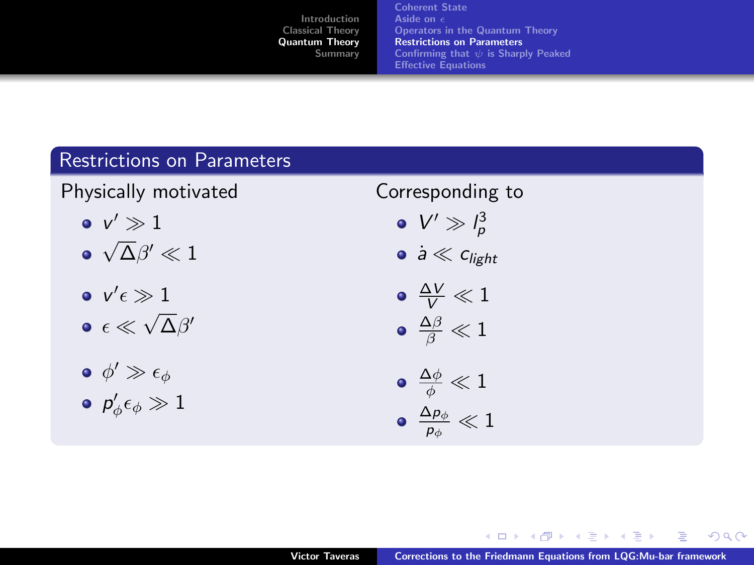[Coherent State](#page-9-0) [Aside on](#page-10-0) [Operators in the Quantum Theory](#page-11-0) [Restrictions on Parameters](#page-12-0) Confirming that  $\psi$  [is Sharply Peaked](#page-13-0) [Effective Equations](#page-14-0)

#### Restrictions on Parameters

Physically motivated

- $v' \gg 1$
- √  $\overline{\Delta} \beta' \ll 1$
- $v'\epsilon\gg 1$ √
- $\epsilon \ll$  $\overline{\Delta} \beta'$
- $\phi' \gg \epsilon_{\phi}$
- $\rho'_\phi \epsilon_\phi \gg 1$

# Corresponding to

- $V' \gg l_p^3$
- $\dot{a} \ll c_{\text{light}}$

$$
\begin{array}{c}\n\bullet \frac{\Delta V}{V} \ll 1 \\
\bullet \frac{\Delta \beta}{V} \ll 1\n\end{array}
$$

$$
\bullet \ \tfrac{\Delta \beta}{\beta} \ll 1
$$

$$
\begin{array}{c} \bullet \\ \frac{\Delta\phi}{\phi} \ll 1 \\ \bullet \\ \frac{\Delta\rho_{\phi}}{\rho_{\phi}} \ll 1 \end{array}
$$

4 间 **B** ∍ <span id="page-12-0"></span> $2Q$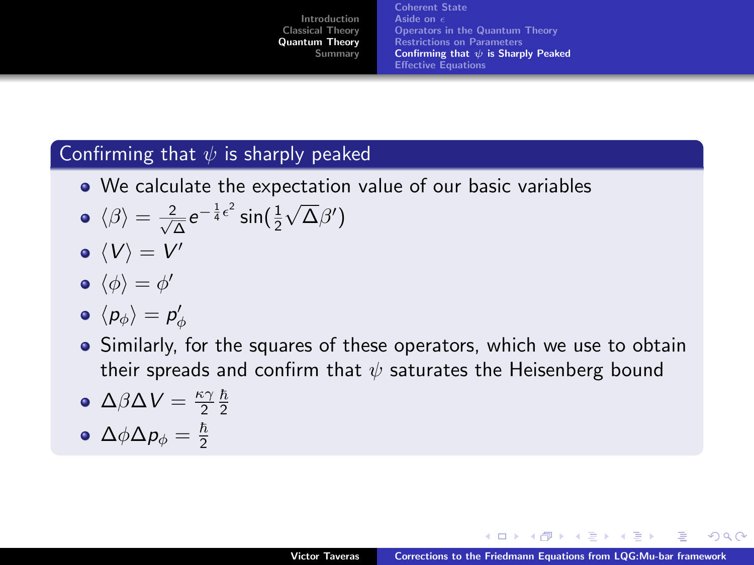[Coherent State](#page-9-0) [Aside on](#page-10-0) [Operators in the Quantum Theory](#page-11-0) [Restrictions on Parameters](#page-12-0) Confirming that  $\psi$  [is Sharply Peaked](#page-13-0) [Effective Equations](#page-14-0)

#### Confirming that  $\psi$  is sharply peaked

- We calculate the expectation value of our basic variables
- $\langle \beta \rangle = \frac{2}{\sqrt{2}}$  $\frac{2}{\Delta}e^{-\frac{1}{4}\epsilon^2}\sin(\frac{1}{2})$ √  $\overline{\Delta}\beta')$
- $\langle V \rangle = V'$

$$
\bullet\ \langle \phi \rangle = \phi'
$$

- $\langle p_{\phi} \rangle = p_{\phi}'$
- Similarly, for the squares of these operators, which we use to obtain their spreads and confirm that  $\psi$  saturates the Heisenberg bound

• 
$$
\Delta\beta\Delta V = \frac{\kappa\gamma}{2}\frac{\hbar}{2}
$$

<span id="page-13-0"></span>
$$
\bullet \ \Delta \phi \Delta p_{\phi} = \tfrac{\hbar}{2}
$$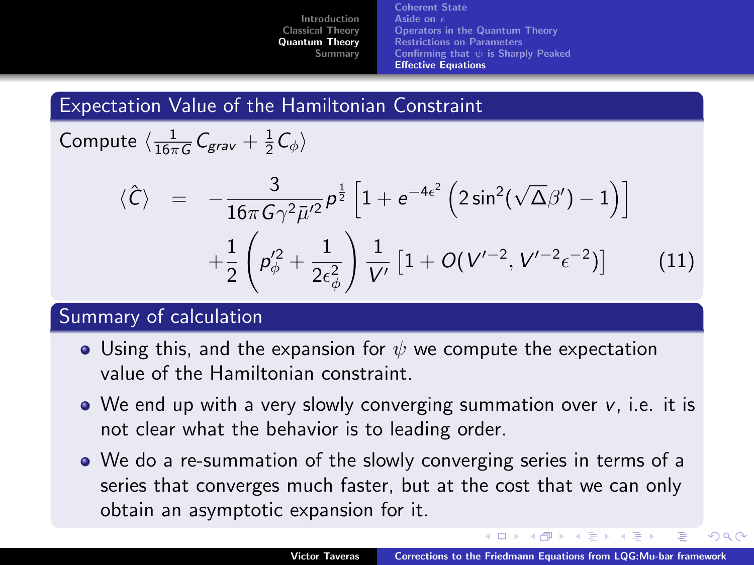[Coherent State](#page-9-0) [Aside on](#page-10-0) [Operators in the Quantum Theory](#page-11-0) [Restrictions on Parameters](#page-12-0) Confirming that  $\psi$  [is Sharply Peaked](#page-13-0) [Effective Equations](#page-14-0)

#### Expectation Value of the Hamiltonian Constraint

Compute  $\langle \frac{1}{16\pi G} \mathcal{C}_{grav} + \frac{1}{2} \mathcal{C}_{\phi} \rangle$ 

$$
\langle \hat{C} \rangle = -\frac{3}{16\pi G \gamma^2 \bar{\mu}'^2} \rho^{\frac{1}{2}} \left[ 1 + e^{-4\epsilon^2} \left( 2 \sin^2(\sqrt{\Delta}\beta') - 1 \right) \right] +\frac{1}{2} \left( \rho_{\phi}^{\prime 2} + \frac{1}{2\epsilon_{\phi}^2} \right) \frac{1}{V'} \left[ 1 + O(V'^{-2}, V'^{-2} \epsilon^{-2}) \right]
$$
(11)

#### Summary of calculation

- Using this, and the expansion for  $\psi$  we compute the expectation value of the Hamiltonian constraint.
- We end up with a very slowly converging summation over v, i.e. it is not clear what the behavior is to leading order.
- <span id="page-14-0"></span>We do a re-summation of the slowly converging series in terms of a series that converges much faster, but at the cost that we can only obtain an asymptotic expansion for it.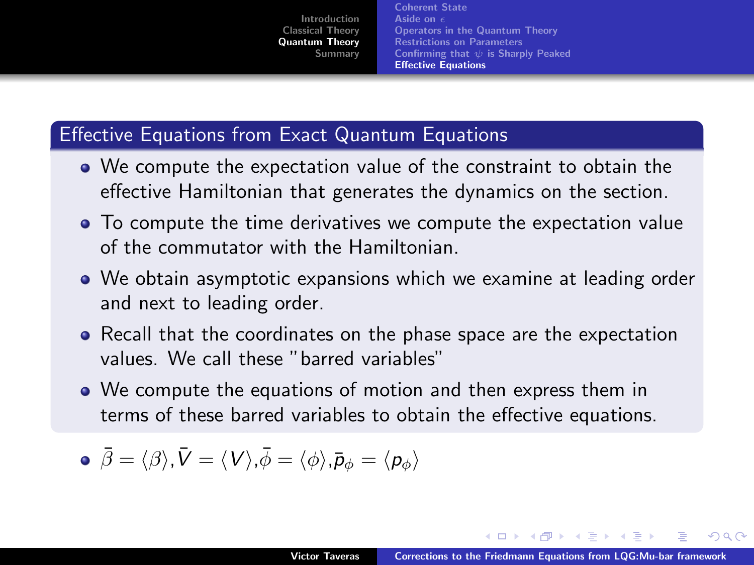[Coherent State](#page-9-0) [Aside on](#page-10-0) [Operators in the Quantum Theory](#page-11-0) [Restrictions on Parameters](#page-12-0) Confirming that  $\psi$  [is Sharply Peaked](#page-13-0) [Effective Equations](#page-14-0)

## Effective Equations from Exact Quantum Equations

- We compute the expectation value of the constraint to obtain the effective Hamiltonian that generates the dynamics on the section.
- To compute the time derivatives we compute the expectation value of the commutator with the Hamiltonian.
- We obtain asymptotic expansions which we examine at leading order and next to leading order.
- Recall that the coordinates on the phase space are the expectation values. We call these "barred variables"
- We compute the equations of motion and then express them in terms of these barred variables to obtain the effective equations.

$$
\bullet \ \vec{\beta} = \langle \beta \rangle, \vec{V} = \langle V \rangle, \vec{\phi} = \langle \phi \rangle, \vec{p}_{\phi} = \langle p_{\phi} \rangle
$$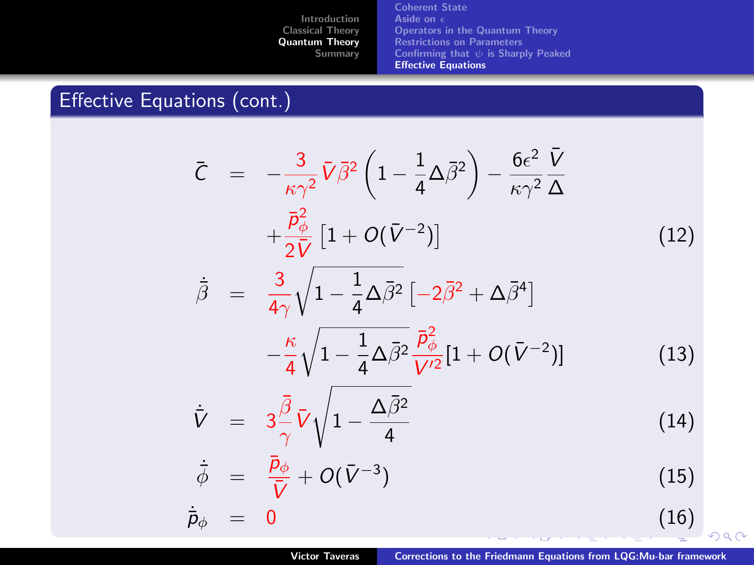[Coherent State](#page-9-0) [Aside on](#page-10-0)  $\epsilon$ [Operators in the Quantum Theory](#page-11-0) [Restrictions on Parameters](#page-12-0) Confirming that  $\psi$  [is Sharply Peaked](#page-13-0) [Effective Equations](#page-14-0)

# Effective Equations (cont.)

$$
\bar{C} = -\frac{3}{\kappa \gamma^2} \bar{V} \bar{\beta}^2 \left( 1 - \frac{1}{4} \Delta \bar{\beta}^2 \right) - \frac{6\epsilon^2}{\kappa \gamma^2} \frac{\bar{V}}{\Delta}
$$
\n
$$
+ \frac{\bar{P}_{\phi}^2}{2\bar{V}} \left[ 1 + O(\bar{V}^{-2}) \right] \tag{12}
$$
\n
$$
\dot{\bar{\beta}} = \frac{3}{4\gamma} \sqrt{1 - \frac{1}{4} \Delta \bar{\beta}^2} \left[ -2\bar{\beta}^2 + \Delta \bar{\beta}^4 \right]
$$
\n
$$
- \frac{\kappa}{4} \sqrt{1 - \frac{1}{4} \Delta \bar{\beta}^2} \frac{\bar{P}_{\phi}^2}{\bar{V}} \left[ 1 + O(\bar{V}^{-2}) \right] \tag{13}
$$

<span id="page-16-0"></span>
$$
-\frac{\kappa}{4}\sqrt{1-\frac{1}{4}\Delta\bar{\beta}^2}\frac{\bar{p}_{\phi}^2}{V'^2}[1+O(\bar{V}^{-2})] \qquad (13)
$$

$$
\dot{\bar{V}} = 3 \frac{\bar{\beta}}{\gamma} \bar{V} \sqrt{1 - \frac{\Delta \bar{\beta}^2}{4}}
$$
 (14)

$$
\dot{\bar{\phi}} = \frac{\bar{p}_{\phi}}{\bar{V}} + O(\bar{V}^{-3}) \tag{15}
$$

 $\dot{\bar{p}}_{\phi}$  = 0 [\(1](#page-0-0)[6\)](#page-19-0)  $299$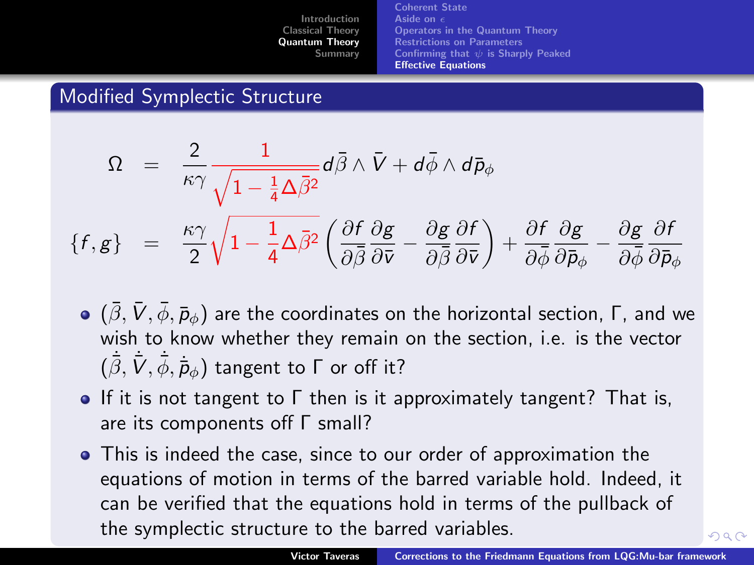[Coherent State](#page-9-0) [Aside on](#page-10-0) [Operators in the Quantum Theory](#page-11-0) [Restrictions on Parameters](#page-12-0) Confirming that  $\psi$  [is Sharply Peaked](#page-13-0) [Effective Equations](#page-14-0)

# Modified Symplectic Structure

$$
\Omega = \frac{2}{\kappa \gamma} \frac{1}{\sqrt{1 - \frac{1}{4} \Delta \bar{\beta}^2}} d\bar{\beta} \wedge \bar{V} + d\bar{\phi} \wedge d\bar{p}_{\phi}
$$
\n
$$
\{f, g\} = \frac{\kappa \gamma}{2} \sqrt{1 - \frac{1}{4} \Delta \bar{\beta}^2} \left( \frac{\partial f}{\partial \bar{\beta}} \frac{\partial g}{\partial \bar{v}} - \frac{\partial g}{\partial \bar{\beta}} \frac{\partial f}{\partial \bar{v}} \right) + \frac{\partial f}{\partial \bar{\phi}} \frac{\partial g}{\partial \bar{p}_{\phi}} - \frac{\partial g}{\partial \bar{\phi}} \frac{\partial f}{\partial \bar{p}_{\phi}}
$$

- $(\beta, V, \phi, \bar{p}_\phi)$  are the coordinates on the horizontal section, Γ, and we wish to know whether they remain on the section, i.e. is the vector  $(\dot{\bar{\beta}},\dot{\bar{V}},\dot{\bar{\phi}},\dot{\bar{p}}_{\phi})$  tangent to  $\Gamma$  or off it?
- **If it is not tangent to Γ then is it approximately tangent? That is,** are its components off Γ small?
- This is indeed the case, since to our order of approximation the equations of motion in terms of the barred variable hold. Indeed, it can be verified that the equations hold in terms of the pullback of the symplectic structure to the barred varia[ble](#page-16-0)s[.](#page-18-0)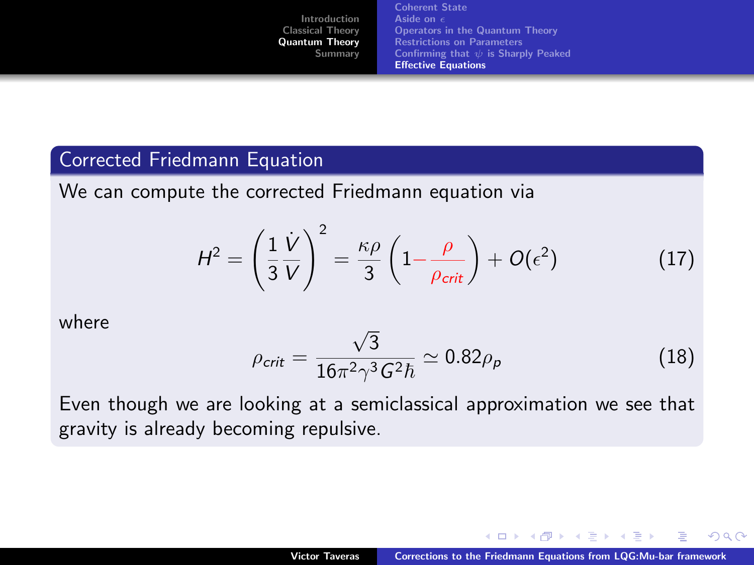[Coherent State](#page-9-0) [Aside on](#page-10-0) [Operators in the Quantum Theory](#page-11-0) [Restrictions on Parameters](#page-12-0) Confirming that  $\psi$  [is Sharply Peaked](#page-13-0) [Effective Equations](#page-14-0)

#### Corrected Friedmann Equation

We can compute the corrected Friedmann equation via

$$
H^{2} = \left(\frac{1}{3}\frac{\dot{V}}{V}\right)^{2} = \frac{\kappa\rho}{3}\left(1 - \frac{\rho}{\rho_{\text{crit}}}\right) + O(\epsilon^{2})
$$
 (17)

where

$$
\rho_{\text{crit}} = \frac{\sqrt{3}}{16\pi^2 \gamma^3 G^2 \hbar} \simeq 0.82 \rho_{\text{p}} \tag{18}
$$

Even though we are looking at a semiclassical approximation we see that gravity is already becoming repulsive.

<span id="page-18-0"></span>つへへ